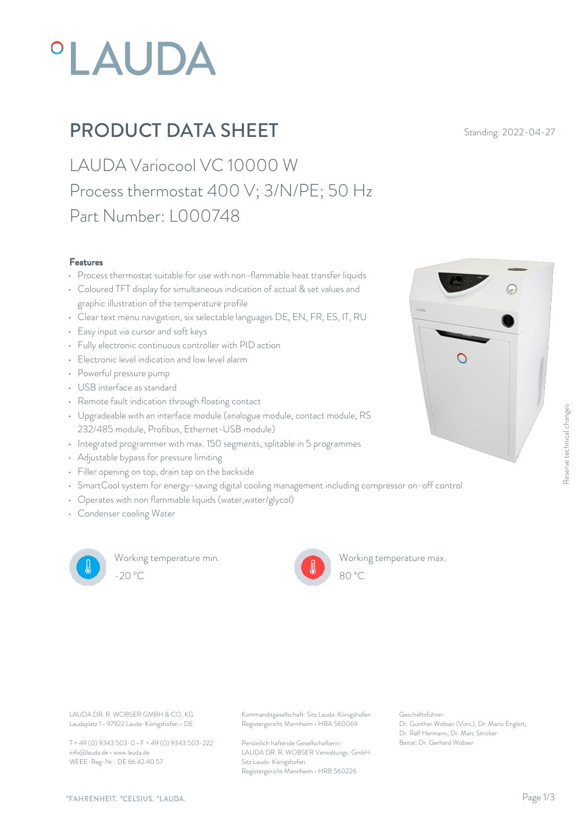# **°LAUDA**

## **PRODUCT DATA SHEET** Standing: 2022-04-27

LAUDA Variocool VC 10000 W Process thermostat 400 V; 3/N/PE; 50 Hz Part Number: L000748

#### Features

- Process thermostat suitable for use with non-flammable heat transfer liquids
- Coloured TFT display for simultaneous indication of actual & set values and graphic illustration of the temperature profile
- Clear text menu navigation, six selectable languages DE, EN, FR, ES, IT, RU
- Easy input via cursor and soft keys
- Fully electronic continuous controller with PID action
- Electronic level indication and low level alarm  $\Box$
- Powerful pressure pump
- USB interface as standard
- Remote fault indication through floating contact
- Upgradeable with an interface module (analogue module, contact module, RS 232/485 module, Profibus, Ethernet-USB module)
- Integrated programmer with max. 150 segments, splitable in 5 programmes
- Adjustable bypass for pressure limiting
- Filler opening on top, drain tap on the backside
- SmartCool system for energy-saving digital cooling management including compressor on-off control
- Operates with non flammable liquids (water,water/glycol)
- Condenser cooling Water



Working temperature min. -20 °C 80 °C

Working temperature max.



Laudaplatz 1 • 97922 Lauda-Königshofen • DE

T + 49 (0) 9343 503-0 • F + 49 (0) 9343 503-222 info@lauda.de • www.lauda.de WEEE-Reg-Nr.: DE 66 42 40 57

LAUDA DR. R. WOBSER GMBH & CO. KG Kommanditgesellschaft: Sitz Lauda-Königshofen Geschäftsführer: Registergericht Mannheim • HRA 560069

> Persönlich haftende Gesellschafterin: Beirat: Dr. Gerhard Wobse LAUDA DR. R. WOBSER Verwaltungs-GmbH Sitz Lauda-Königshofen Registergericht Mannheim • HRB 560226

Geschäftsführer: Dr. Gunther Wobser (Vors.), Dr. Mario Englert, Dr. Ralf Hermann, Dr. Marc Stricker

80 °C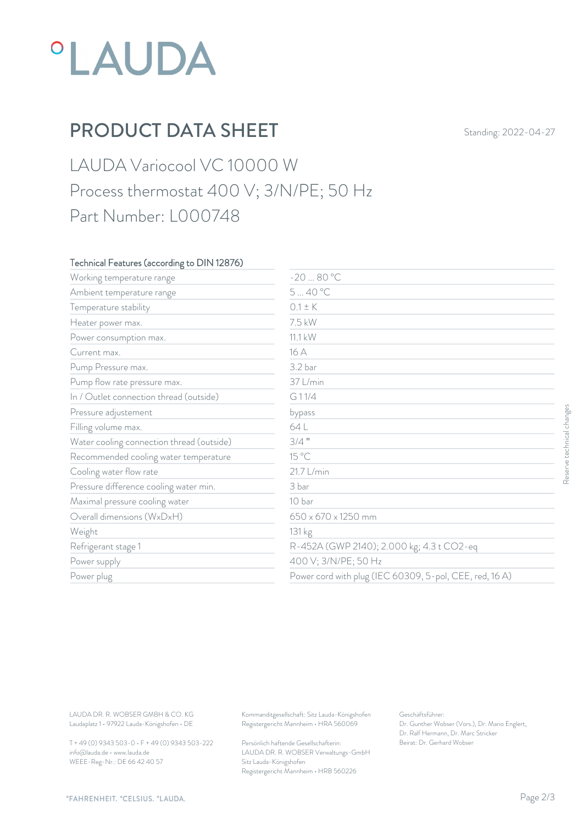# *°LAUDA*

# PRODUCT DATA SHEET Standing: 2022-04-27

### LAUDA Variocool VC 10000 W Process thermostat 400 V; 3/N/PE; 50 Hz Part Number: L000748

#### Technical Features (according to DIN 12876)

| Working temperature range                                                        | $-2080 °C$                                                                             |                                                                                                           |                           |
|----------------------------------------------------------------------------------|----------------------------------------------------------------------------------------|-----------------------------------------------------------------------------------------------------------|---------------------------|
| Ambient temperature range                                                        | 540 °C                                                                                 |                                                                                                           |                           |
| Temperature stability                                                            | $0.1 \pm K$                                                                            |                                                                                                           |                           |
| Heater power max.                                                                | 7.5 kW                                                                                 |                                                                                                           |                           |
| Power consumption max.                                                           | 11.1 kW                                                                                |                                                                                                           |                           |
| Current max.                                                                     | 16 A                                                                                   |                                                                                                           |                           |
| Pump Pressure max.                                                               | 3.2 bar                                                                                |                                                                                                           |                           |
| Pump flow rate pressure max.                                                     | 37 L/min                                                                               |                                                                                                           |                           |
| In / Outlet connection thread (outside)                                          | G11/4                                                                                  |                                                                                                           |                           |
| Pressure adjustement                                                             | bypass                                                                                 |                                                                                                           |                           |
| Filling volume max.                                                              | 64 L                                                                                   |                                                                                                           | Reserve technical changes |
| Water cooling connection thread (outside)                                        | $3/4$ "                                                                                |                                                                                                           |                           |
| Recommended cooling water temperature                                            | 15 °C                                                                                  |                                                                                                           |                           |
| Cooling water flow rate                                                          | 21.7 L/min                                                                             |                                                                                                           |                           |
| Pressure difference cooling water min.                                           | 3 bar                                                                                  |                                                                                                           |                           |
| Maximal pressure cooling water                                                   | 10 bar                                                                                 |                                                                                                           |                           |
| Overall dimensions (WxDxH)                                                       | 650 x 670 x 1250 mm                                                                    |                                                                                                           |                           |
| Weight                                                                           | 131 kg                                                                                 |                                                                                                           |                           |
| Refrigerant stage 1                                                              |                                                                                        | R-452A (GWP 2140); 2.000 kg; 4.3 t CO2-eq                                                                 |                           |
| Power supply                                                                     |                                                                                        | 400 V; 3/N/PE; 50 Hz                                                                                      |                           |
| Power plug                                                                       |                                                                                        | Power cord with plug (IEC 60309, 5-pol, CEE, red, 16A)                                                    |                           |
|                                                                                  |                                                                                        |                                                                                                           |                           |
| LAUDA DR. R. WOBSER GMBH & CO. KG<br>Laudaplatz 1 · 97922 Lauda-Königshofen · DE | Kommanditgesellschaft: Sitz Lauda-Königshofen<br>Registergericht Mannheim · HRA 560069 | Geschäftsführer:<br>Dr. Gunther Wobser (Vors.), Dr. Mario Englert,<br>Dr. Ralf Hermann, Dr. Marc Stricker |                           |
| T + 49 (0) 9343 503-0 · F + 49 (0) 9343 503-222                                  | Persönlich haftende Gesellschafterin:                                                  | Beirat: Dr. Gerhard Wobser                                                                                |                           |

T + 49 (0) 9343 503-0 • F + 49 (0) 9343 503-222 info@lauda.de • www.lauda.de WEEE-Reg-Nr.: DE 66 42 40 57

> Persönlich haftende Gesellschafterin: Beirat: Dr. Gerhard Wobse LAUDA DR. R. WOBSER Verwaltungs-GmbH Sitz Lauda-Königshofen Registergericht Mannheim • HRB 560226